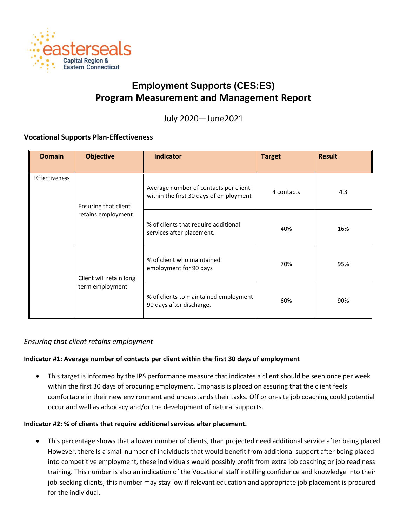

# **Employment Supports (CES:ES) Program Measurement and Management Report**

July 2020—June2021

## **Vocational Supports Plan-Effectiveness**

| <b>Domain</b> | <b>Objective</b>                                                      | <b>Indicator</b>                                                                | <b>Target</b> | <b>Result</b> |
|---------------|-----------------------------------------------------------------------|---------------------------------------------------------------------------------|---------------|---------------|
| Effectiveness | Ensuring that client<br>retains employment<br>Client will retain long | Average number of contacts per client<br>within the first 30 days of employment | 4 contacts    | 4.3           |
|               |                                                                       | % of clients that require additional<br>services after placement.               | 40%           | 16%           |
|               |                                                                       | % of client who maintained<br>employment for 90 days                            | 70%           | 95%           |
|               | term employment                                                       | % of clients to maintained employment<br>90 days after discharge.               | 60%           | 90%           |

## *Ensuring that client retains employment*

## **Indicator #1: Average number of contacts per client within the first 30 days of employment**

• This target is informed by the IPS performance measure that indicates a client should be seen once per week within the first 30 days of procuring employment. Emphasis is placed on assuring that the client feels comfortable in their new environment and understands their tasks. Off or on-site job coaching could potential occur and well as advocacy and/or the development of natural supports.

#### **Indicator #2: % of clients that require additional services after placement.**

• This percentage shows that a lower number of clients, than projected need additional service after being placed. However, there Is a small number of individuals that would benefit from additional support after being placed into competitive employment, these individuals would possibly profit from extra job coaching or job readiness training. This number is also an indication of the Vocational staff instilling confidence and knowledge into their job-seeking clients; this number may stay low if relevant education and appropriate job placement is procured for the individual.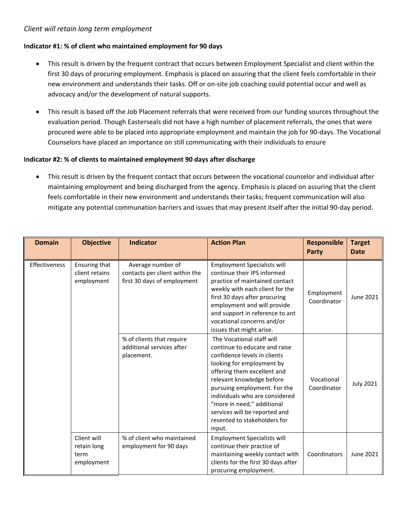## *Client will retain long term employment*

#### **Indicator #1: % of client who maintained employment for 90 days**

- This result is driven by the frequent contract that occurs between Employment Specialist and client within the first 30 days of procuring employment. Emphasis is placed on assuring that the client feels comfortable in their new environment and understands their tasks. Off or on-site job coaching could potential occur and well as advocacy and/or the development of natural supports.
- This result is based off the Job Placement referrals that were received from our funding sources throughout the evaluation period. Though Easterseals did not have a high number of placement referrals, the ones that were procured were able to be placed into appropriate employment and maintain the job for 90-days. The Vocational Counselors have placed an importance on still communicating with their individuals to ensure

#### **Indicator #2: % of clients to maintained employment 90 days after discharge**

• This result is driven by the frequent contact that occurs between the vocational counselor and individual after maintaining employment and being discharged from the agency. Emphasis is placed on assuring that the client feels comfortable in their new environment and understands their tasks; frequent communication will also mitigate any potential communation barriers and issues that may present itself after the initial 90-day period.

| <b>Domain</b> | <b>Objective</b>                                 | <b>Indicator</b>                                                                   | <b>Action Plan</b>                                                                                                                                                                                                                                                                                                                                             | <b>Responsible</b><br><b>Party</b> | <b>Target</b><br><b>Date</b> |
|---------------|--------------------------------------------------|------------------------------------------------------------------------------------|----------------------------------------------------------------------------------------------------------------------------------------------------------------------------------------------------------------------------------------------------------------------------------------------------------------------------------------------------------------|------------------------------------|------------------------------|
| Effectiveness | Ensuring that<br>client retains<br>employment    | Average number of<br>contacts per client within the<br>first 30 days of employment | <b>Employment Specialists will</b><br>continue their IPS informed<br>practice of maintained contact<br>weekly with each client for the<br>first 30 days after procuring<br>employment and will provide<br>and support in reference to ant<br>vocational concerns and/or<br>issues that might arise.                                                            | Employment<br>Coordinator          | June 2021                    |
|               |                                                  | % of clients that require<br>additional services after<br>placement.               | The Vocational staff will<br>continue to educate and raise<br>confidence levels in clients<br>looking for employment by<br>offering them excellent and<br>relevant knowledge before<br>pursuing employment. For the<br>individuals who are considered<br>"more in need," additional<br>services will be reported and<br>resented to stakeholders for<br>input. | Vocational<br>Coordinator          | <b>July 2021</b>             |
|               | Client will<br>retain long<br>term<br>employment | % of client who maintained<br>employment for 90 days                               | <b>Employment Specialists will</b><br>continue their practice of<br>maintaining weekly contact with<br>clients for the first 30 days after<br>procuring employment.                                                                                                                                                                                            | Coordinators                       | <b>June 2021</b>             |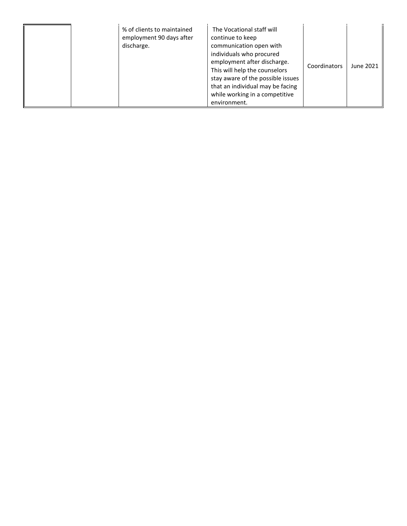| % of clients to maintained<br>employment 90 days after<br>discharge. | The Vocational staff will<br>continue to keep<br>communication open with<br>individuals who procured<br>employment after discharge.<br>This will help the counselors<br>stay aware of the possible issues<br>that an individual may be facing<br>while working in a competitive<br>environment. | Coordinators | June 2021 |
|----------------------------------------------------------------------|-------------------------------------------------------------------------------------------------------------------------------------------------------------------------------------------------------------------------------------------------------------------------------------------------|--------------|-----------|
|----------------------------------------------------------------------|-------------------------------------------------------------------------------------------------------------------------------------------------------------------------------------------------------------------------------------------------------------------------------------------------|--------------|-----------|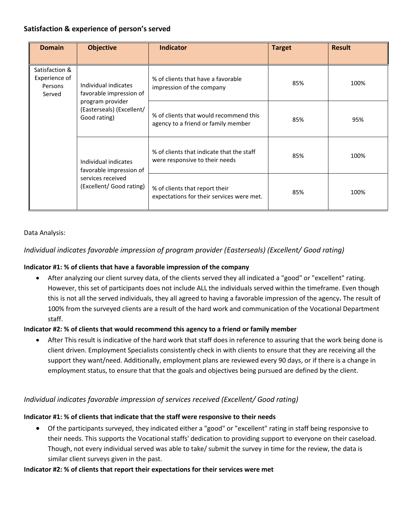# **Satisfaction & experience of person's served**

| <b>Domain</b>                                        | <b>Objective</b>                                                                                                 | <b>Indicator</b>                                                              | <b>Target</b> | <b>Result</b> |
|------------------------------------------------------|------------------------------------------------------------------------------------------------------------------|-------------------------------------------------------------------------------|---------------|---------------|
| Satisfaction &<br>Experience of<br>Persons<br>Served | Individual indicates<br>favorable impression of<br>program provider<br>(Easterseals) (Excellent/<br>Good rating) | % of clients that have a favorable<br>impression of the company               | 85%           | 100%          |
|                                                      |                                                                                                                  | % of clients that would recommend this<br>agency to a friend or family member | 85%           | 95%           |
|                                                      | Individual indicates<br>favorable impression of<br>services received<br>(Excellent/ Good rating)                 | % of clients that indicate that the staff<br>were responsive to their needs   | 85%           | 100%          |
|                                                      |                                                                                                                  | % of clients that report their<br>expectations for their services were met.   | 85%           | 100%          |

#### Data Analysis:

# *Individual indicates favorable impression of program provider (Easterseals) (Excellent/ Good rating)*

#### **Indicator #1: % of clients that have a favorable impression of the company**

• After analyzing our client survey data, of the clients served they all indicated a "good" or "excellent" rating. However, this set of participants does not include ALL the individuals served within the timeframe. Even though this is not all the served individuals, they all agreed to having a favorable impression of the agency**.** The result of 100% from the surveyed clients are a result of the hard work and communication of the Vocational Department staff.

#### **Indicator #2: % of clients that would recommend this agency to a friend or family member**

After This result is indicative of the hard work that staff does in reference to assuring that the work being done is client driven. Employment Specialists consistently check in with clients to ensure that they are receiving all the support they want/need. Additionally, employment plans are reviewed every 90 days, or if there is a change in employment status, to ensure that that the goals and objectives being pursued are defined by the client.

## *Individual indicates favorable impression of services received (Excellent/ Good rating)*

## **Indicator #1: % of clients that indicate that the staff were responsive to their needs**

• Of the participants surveyed, they indicated either a "good" or "excellent" rating in staff being responsive to their needs. This supports the Vocational staffs' dedication to providing support to everyone on their caseload. Though, not every individual served was able to take/ submit the survey in time for the review, the data is similar client surveys given in the past.

#### **Indicator #2: % of clients that report their expectations for their services were met**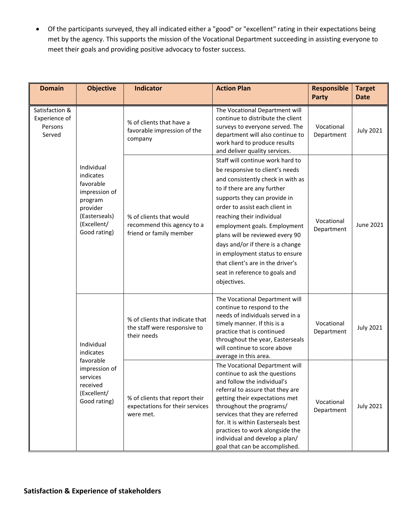• Of the participants surveyed, they all indicated either a "good" or "excellent" rating in their expectations being met by the agency. This supports the mission of the Vocational Department succeeding in assisting everyone to meet their goals and providing positive advocacy to foster success.

| <b>Domain</b>                                                                                                                                                                                                                                                                                        | <b>Objective</b>                                                                 | <b>Indicator</b>                                                                                                                                                                                                                                                                                                                                                                                                                                                      | <b>Action Plan</b>                                                                                                                                                                                                                                         | <b>Responsible</b><br>Party | <b>Target</b><br><b>Date</b> |
|------------------------------------------------------------------------------------------------------------------------------------------------------------------------------------------------------------------------------------------------------------------------------------------------------|----------------------------------------------------------------------------------|-----------------------------------------------------------------------------------------------------------------------------------------------------------------------------------------------------------------------------------------------------------------------------------------------------------------------------------------------------------------------------------------------------------------------------------------------------------------------|------------------------------------------------------------------------------------------------------------------------------------------------------------------------------------------------------------------------------------------------------------|-----------------------------|------------------------------|
| Satisfaction &<br>Experience of<br>Persons<br>Served<br>Individual<br>indicates<br>favorable<br>impression of<br>program<br>provider<br>(Easterseals)<br>(Excellent/<br>Good rating)<br>Individual<br>indicates<br>favorable<br>impression of<br>services<br>received<br>(Excellent/<br>Good rating) |                                                                                  | % of clients that have a<br>favorable impression of the<br>company                                                                                                                                                                                                                                                                                                                                                                                                    | The Vocational Department will<br>continue to distribute the client<br>surveys to everyone served. The<br>department will also continue to<br>work hard to produce results<br>and deliver quality services.                                                | Vocational<br>Department    | <b>July 2021</b>             |
|                                                                                                                                                                                                                                                                                                      | % of clients that would<br>recommend this agency to a<br>friend or family member | Staff will continue work hard to<br>be responsive to client's needs<br>and consistently check in with as<br>to if there are any further<br>supports they can provide in<br>order to assist each client in<br>reaching their individual<br>employment goals. Employment<br>plans will be reviewed every 90<br>days and/or if there is a change<br>in employment status to ensure<br>that client's are in the driver's<br>seat in reference to goals and<br>objectives. | Vocational<br>Department                                                                                                                                                                                                                                   | June 2021                   |                              |
|                                                                                                                                                                                                                                                                                                      |                                                                                  | % of clients that indicate that<br>the staff were responsive to<br>their needs                                                                                                                                                                                                                                                                                                                                                                                        | The Vocational Department will<br>continue to respond to the<br>needs of individuals served in a<br>timely manner. If this is a<br>practice that is continued<br>throughout the year, Easterseals<br>will continue to score above<br>average in this area. | Vocational<br>Department    | <b>July 2021</b>             |
|                                                                                                                                                                                                                                                                                                      | % of clients that report their<br>expectations for their services<br>were met.   | The Vocational Department will<br>continue to ask the questions<br>and follow the individual's<br>referral to assure that they are<br>getting their expectations met<br>throughout the programs/<br>services that they are referred<br>for. It is within Easterseals best<br>practices to work alongside the<br>individual and develop a plan/<br>goal that can be accomplished.                                                                                      | Vocational<br>Department                                                                                                                                                                                                                                   | <b>July 2021</b>            |                              |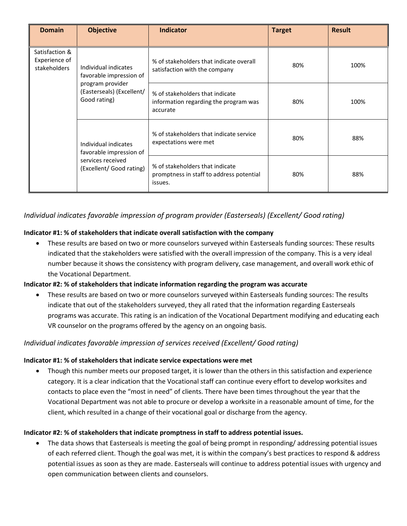| <b>Domain</b>                                   | <b>Objective</b>                                                                                 | <b>Indicator</b>                                                                       | <b>Target</b> | <b>Result</b> |
|-------------------------------------------------|--------------------------------------------------------------------------------------------------|----------------------------------------------------------------------------------------|---------------|---------------|
| Satisfaction &<br>Experience of<br>stakeholders | Individual indicates<br>favorable impression of                                                  | % of stakeholders that indicate overall<br>satisfaction with the company               | 80%           | 100%          |
|                                                 | program provider<br>(Easterseals) (Excellent/<br>Good rating)                                    | % of stakeholders that indicate<br>information regarding the program was<br>accurate   | 80%           | 100%          |
|                                                 | Individual indicates<br>favorable impression of<br>services received<br>(Excellent/ Good rating) | % of stakeholders that indicate service<br>expectations were met                       | 80%           | 88%           |
|                                                 |                                                                                                  | % of stakeholders that indicate<br>promptness in staff to address potential<br>issues. | 80%           | 88%           |

# *Individual indicates favorable impression of program provider (Easterseals) (Excellent/ Good rating)*

## **Indicator #1: % of stakeholders that indicate overall satisfaction with the company**

• These results are based on two or more counselors surveyed within Easterseals funding sources: These results indicated that the stakeholders were satisfied with the overall impression of the company. This is a very ideal number because it shows the consistency with program delivery, case management, and overall work ethic of the Vocational Department.

## **Indicator #2: % of stakeholders that indicate information regarding the program was accurate**

• These results are based on two or more counselors surveyed within Easterseals funding sources: The results indicate that out of the stakeholders surveyed, they all rated that the information regarding Easterseals programs was accurate. This rating is an indication of the Vocational Department modifying and educating each VR counselor on the programs offered by the agency on an ongoing basis.

## *Individual indicates favorable impression of services received (Excellent/ Good rating)*

#### **Indicator #1: % of stakeholders that indicate service expectations were met**

• Though this number meets our proposed target, it is lower than the others in this satisfaction and experience category. It is a clear indication that the Vocational staff can continue every effort to develop worksites and contacts to place even the "most in need" of clients. There have been times throughout the year that the Vocational Department was not able to procure or develop a worksite in a reasonable amount of time, for the client, which resulted in a change of their vocational goal or discharge from the agency.

#### **Indicator #2: % of stakeholders that indicate promptness in staff to address potential issues.**

• The data shows that Easterseals is meeting the goal of being prompt in responding/ addressing potential issues of each referred client. Though the goal was met, it is within the company's best practices to respond & address potential issues as soon as they are made. Easterseals will continue to address potential issues with urgency and open communication between clients and counselors.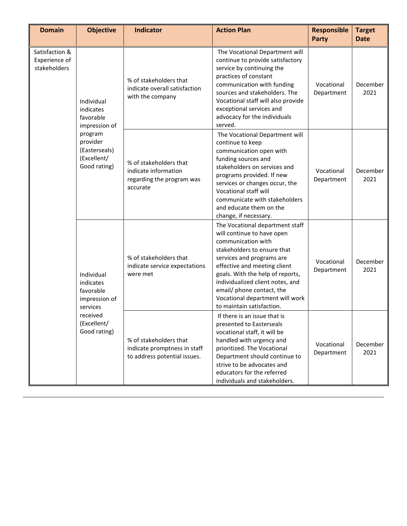| <b>Domain</b>                                                                                            | <b>Objective</b>                                                            | Indicator                                                                                                                                                                                                                                                                                            | <b>Action Plan</b>                                                                                                                                                                                                                                                                                                                                   | <b>Responsible</b><br>Party | <b>Target</b><br><b>Date</b> |
|----------------------------------------------------------------------------------------------------------|-----------------------------------------------------------------------------|------------------------------------------------------------------------------------------------------------------------------------------------------------------------------------------------------------------------------------------------------------------------------------------------------|------------------------------------------------------------------------------------------------------------------------------------------------------------------------------------------------------------------------------------------------------------------------------------------------------------------------------------------------------|-----------------------------|------------------------------|
| Satisfaction &<br>Experience of<br>stakeholders<br>Individual<br>indicates<br>favorable<br>impression of | % of stakeholders that<br>indicate overall satisfaction<br>with the company | The Vocational Department will<br>continue to provide satisfactory<br>service by continuing the<br>practices of constant<br>communication with funding<br>sources and stakeholders. The<br>Vocational staff will also provide<br>exceptional services and<br>advocacy for the individuals<br>served. | Vocational<br>Department                                                                                                                                                                                                                                                                                                                             | December<br>2021            |                              |
|                                                                                                          | program<br>provider<br>(Easterseals)<br>(Excellent/<br>Good rating)         | % of stakeholders that<br>indicate information<br>regarding the program was<br>accurate                                                                                                                                                                                                              | The Vocational Department will<br>continue to keep<br>communication open with<br>funding sources and<br>stakeholders on services and<br>programs provided. If new<br>services or changes occur, the<br>Vocational staff will<br>communicate with stakeholders<br>and educate them on the<br>change, if necessary.                                    | Vocational<br>Department    | December<br>2021             |
|                                                                                                          | Individual<br>indicates<br>favorable<br>impression of<br>services           | % of stakeholders that<br>indicate service expectations<br>were met                                                                                                                                                                                                                                  | The Vocational department staff<br>will continue to have open<br>communication with<br>stakeholders to ensure that<br>services and programs are<br>effective and meeting client<br>goals. With the help of reports,<br>individualized client notes, and<br>email/ phone contact, the<br>Vocational department will work<br>to maintain satisfaction. | Vocational<br>Department    | December<br>2021             |
| received<br>(Excellent/<br>Good rating)                                                                  |                                                                             | % of stakeholders that<br>indicate promptness in staff<br>to address potential issues.                                                                                                                                                                                                               | If there is an issue that is<br>presented to Easterseals<br>vocational staff, it will be<br>handled with urgency and<br>prioritized. The Vocational<br>Department should continue to<br>strive to be advocates and<br>educators for the referred<br>individuals and stakeholders.                                                                    | Vocational<br>Department    | December<br>2021             |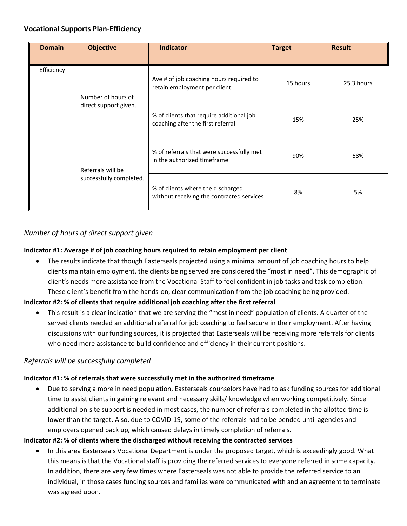# **Vocational Supports Plan-Efficiency**

| <b>Domain</b> | <b>Objective</b>                             | <b>Indicator</b>                                                               | <b>Target</b> | <b>Result</b> |
|---------------|----------------------------------------------|--------------------------------------------------------------------------------|---------------|---------------|
| Efficiency    | Number of hours of<br>direct support given.  | Ave # of job coaching hours required to<br>retain employment per client        | 15 hours      | 25.3 hours    |
|               |                                              | % of clients that require additional job<br>coaching after the first referral  | 15%           | 25%           |
|               | Referrals will be<br>successfully completed. | % of referrals that were successfully met<br>in the authorized timeframe       | 90%           | 68%           |
|               |                                              | % of clients where the discharged<br>without receiving the contracted services | 8%            | 5%            |

# *Number of hours of direct support given*

## **Indicator #1: Average # of job coaching hours required to retain employment per client**

• The results indicate that though Easterseals projected using a minimal amount of job coaching hours to help clients maintain employment, the clients being served are considered the "most in need". This demographic of client's needs more assistance from the Vocational Staff to feel confident in job tasks and task completion. These client's benefit from the hands-on, clear communication from the job coaching being provided.

## **Indicator #2: % of clients that require additional job coaching after the first referral**

• This result is a clear indication that we are serving the "most in need" population of clients. A quarter of the served clients needed an additional referral for job coaching to feel secure in their employment. After having discussions with our funding sources, it is projected that Easterseals will be receiving more referrals for clients who need more assistance to build confidence and efficiency in their current positions.

## *Referrals will be successfully completed*

## **Indicator #1: % of referrals that were successfully met in the authorized timeframe**

• Due to serving a more in need population, Easterseals counselors have had to ask funding sources for additional time to assist clients in gaining relevant and necessary skills/ knowledge when working competitively. Since additional on-site support is needed in most cases, the number of referrals completed in the allotted time is lower than the target. Also, due to COVID-19, some of the referrals had to be pended until agencies and employers opened back up, which caused delays in timely completion of referrals.

## **Indicator #2: % of clients where the discharged without receiving the contracted services**

• In this area Easterseals Vocational Department is under the proposed target, which is exceedingly good. What this means is that the Vocational staff is providing the referred services to everyone referred in some capacity. In addition, there are very few times where Easterseals was not able to provide the referred service to an individual, in those cases funding sources and families were communicated with and an agreement to terminate was agreed upon.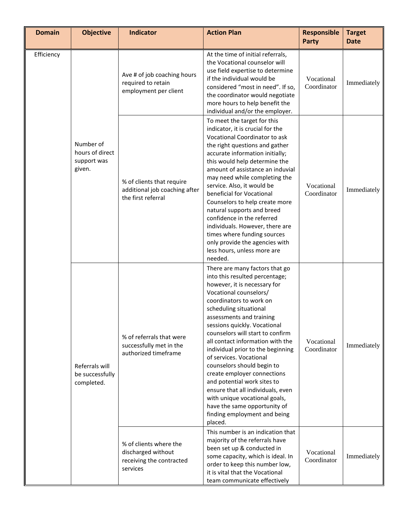| <b>Domain</b> | <b>Objective</b>                                      | <b>Indicator</b>                                                                     | <b>Action Plan</b>                                                                                                                                                                                                                                                                                                                                                                                                                                                                                                                                                                                                               | <b>Responsible</b><br><b>Party</b> | <b>Target</b><br><b>Date</b> |
|---------------|-------------------------------------------------------|--------------------------------------------------------------------------------------|----------------------------------------------------------------------------------------------------------------------------------------------------------------------------------------------------------------------------------------------------------------------------------------------------------------------------------------------------------------------------------------------------------------------------------------------------------------------------------------------------------------------------------------------------------------------------------------------------------------------------------|------------------------------------|------------------------------|
| Efficiency    |                                                       | Ave # of job coaching hours<br>required to retain<br>employment per client           | At the time of initial referrals,<br>the Vocational counselor will<br>use field expertise to determine<br>if the individual would be<br>considered "most in need". If so,<br>the coordinator would negotiate<br>more hours to help benefit the<br>individual and/or the employer.                                                                                                                                                                                                                                                                                                                                                | Vocational<br>Coordinator          | Immediately                  |
|               | Number of<br>hours of direct<br>support was<br>given. | % of clients that require<br>additional job coaching after<br>the first referral     | To meet the target for this<br>indicator, it is crucial for the<br>Vocational Coordinator to ask<br>the right questions and gather<br>accurate information initially;<br>this would help determine the<br>amount of assistance an induvial<br>may need while completing the<br>service. Also, it would be<br>beneficial for Vocational<br>Counselors to help create more<br>natural supports and breed<br>confidence in the referred<br>individuals. However, there are<br>times where funding sources<br>only provide the agencies with<br>less hours, unless more are<br>needed.                                               | Vocational<br>Coordinator          | Immediately                  |
|               | Referrals will<br>be successfully<br>completed.       | % of referrals that were<br>successfully met in the<br>authorized timeframe          | There are many factors that go<br>into this resulted percentage;<br>however, it is necessary for<br>Vocational counselors/<br>coordinators to work on<br>scheduling situational<br>assessments and training<br>sessions quickly. Vocational<br>counselors will start to confirm<br>all contact information with the<br>individual prior to the beginning<br>of services. Vocational<br>counselors should begin to<br>create employer connections<br>and potential work sites to<br>ensure that all individuals, even<br>with unique vocational goals,<br>have the same opportunity of<br>finding employment and being<br>placed. | Vocational<br>Coordinator          | Immediately                  |
|               |                                                       | % of clients where the<br>discharged without<br>receiving the contracted<br>services | This number is an indication that<br>majority of the referrals have<br>been set up & conducted in<br>some capacity, which is ideal. In<br>order to keep this number low,<br>it is vital that the Vocational<br>team communicate effectively                                                                                                                                                                                                                                                                                                                                                                                      | Vocational<br>Coordinator          | Immediately                  |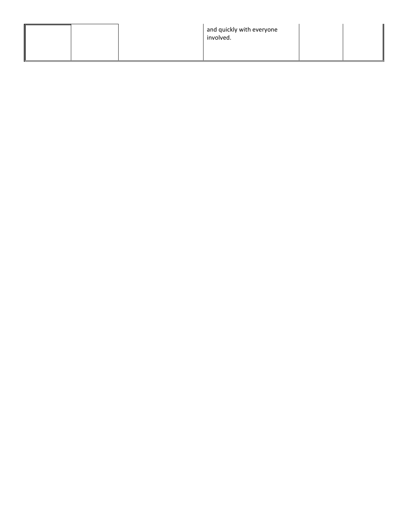|  | and quickly with everyone<br>involved. |  |  |
|--|----------------------------------------|--|--|
|--|----------------------------------------|--|--|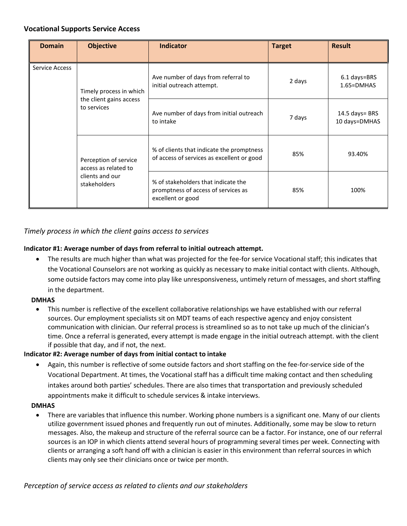## **Vocational Supports Service Access**

| <b>Domain</b>                   | <b>Objective</b>                                                                                                   | <b>Indicator</b>                                                                        | <b>Target</b> | <b>Result</b>                   |
|---------------------------------|--------------------------------------------------------------------------------------------------------------------|-----------------------------------------------------------------------------------------|---------------|---------------------------------|
| <b>Service Access</b>           | Timely process in which<br>the client gains access<br>to services<br>Perception of service<br>access as related to | Ave number of days from referral to<br>initial outreach attempt.                        | 2 days        | 6.1 days=BRS<br>$1.65 = DMHAS$  |
|                                 |                                                                                                                    | Ave number of days from initial outreach<br>to intake                                   | 7 days        | 14.5 days= BRS<br>10 days=DMHAS |
|                                 |                                                                                                                    | % of clients that indicate the promptness<br>of access of services as excellent or good | 85%           | 93.40%                          |
| clients and our<br>stakeholders | % of stakeholders that indicate the<br>promptness of access of services as<br>excellent or good                    | 85%                                                                                     | 100%          |                                 |

## *Timely process in which the client gains access to services*

## **Indicator #1: Average number of days from referral to initial outreach attempt.**

• The results are much higher than what was projected for the fee-for service Vocational staff; this indicates that the Vocational Counselors are not working as quickly as necessary to make initial contact with clients. Although, some outside factors may come into play like unresponsiveness, untimely return of messages, and short staffing in the department.

#### **DMHAS**

• This number is reflective of the excellent collaborative relationships we have established with our referral sources. Our employment specialists sit on MDT teams of each respective agency and enjoy consistent communication with clinician. Our referral process is streamlined so as to not take up much of the clinician's time. Once a referral is generated, every attempt is made engage in the initial outreach attempt. with the client if possible that day, and if not, the next.

## **Indicator #2: Average number of days from initial contact to intake**

• Again, this number is reflective of some outside factors and short staffing on the fee-for-service side of the Vocational Department. At times, the Vocational staff has a difficult time making contact and then scheduling intakes around both parties' schedules. There are also times that transportation and previously scheduled appointments make it difficult to schedule services & intake interviews.

#### **DMHAS**

• There are variables that influence this number. Working phone numbers is a significant one. Many of our clients utilize government issued phones and frequently run out of minutes. Additionally, some may be slow to return messages. Also, the makeup and structure of the referral source can be a factor. For instance, one of our referral sources is an IOP in which clients attend several hours of programming several times per week. Connecting with clients or arranging a soft hand off with a clinician is easier in this environment than referral sources in which clients may only see their clinicians once or twice per month.

*Perception of service access as related to clients and our stakeholders*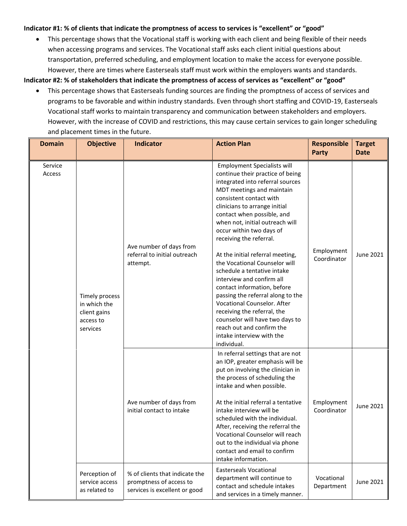#### **Indicator #1: % of clients that indicate the promptness of access to services is "excellent" or "good"**

• This percentage shows that the Vocational staff is working with each client and being flexible of their needs when accessing programs and services. The Vocational staff asks each client initial questions about transportation, preferred scheduling, and employment location to make the access for everyone possible. However, there are times where Easterseals staff must work within the employers wants and standards.

**Indicator #2: % of stakeholders that indicate the promptness of access of services as "excellent" or "good"**

• This percentage shows that Easterseals funding sources are finding the promptness of access of services and programs to be favorable and within industry standards. Even through short staffing and COVID-19, Easterseals Vocational staff works to maintain transparency and communication between stakeholders and employers. However, with the increase of COVID and restrictions, this may cause certain services to gain longer scheduling and placement times in the future.

| <b>Domain</b>     | <b>Objective</b>                                                        | <b>Indicator</b>                                                                           | <b>Action Plan</b>                                                                                                                                                                                                                                                                                                                                                                                                                                                                                                                                                                                                                                                                                         | <b>Responsible</b><br><b>Party</b> | <b>Target</b><br><b>Date</b> |
|-------------------|-------------------------------------------------------------------------|--------------------------------------------------------------------------------------------|------------------------------------------------------------------------------------------------------------------------------------------------------------------------------------------------------------------------------------------------------------------------------------------------------------------------------------------------------------------------------------------------------------------------------------------------------------------------------------------------------------------------------------------------------------------------------------------------------------------------------------------------------------------------------------------------------------|------------------------------------|------------------------------|
| Service<br>Access | Timely process<br>in which the<br>client gains<br>access to<br>services | Ave number of days from<br>referral to initial outreach<br>attempt.                        | <b>Employment Specialists will</b><br>continue their practice of being<br>integrated into referral sources<br>MDT meetings and maintain<br>consistent contact with<br>clinicians to arrange initial<br>contact when possible, and<br>when not, initial outreach will<br>occur within two days of<br>receiving the referral.<br>At the initial referral meeting,<br>the Vocational Counselor will<br>schedule a tentative intake<br>interview and confirm all<br>contact information, before<br>passing the referral along to the<br>Vocational Counselor. After<br>receiving the referral, the<br>counselor will have two days to<br>reach out and confirm the<br>intake interview with the<br>individual. | Employment<br>Coordinator          | June 2021                    |
|                   |                                                                         | Ave number of days from<br>initial contact to intake                                       | In referral settings that are not<br>an IOP, greater emphasis will be<br>put on involving the clinician in<br>the process of scheduling the<br>intake and when possible.<br>At the initial referral a tentative<br>intake interview will be<br>scheduled with the individual.<br>After, receiving the referral the<br>Vocational Counselor will reach<br>out to the individual via phone<br>contact and email to confirm<br>intake information.                                                                                                                                                                                                                                                            | Employment<br>Coordinator          | June 2021                    |
|                   | Perception of<br>service access<br>as related to                        | % of clients that indicate the<br>promptness of access to<br>services is excellent or good | <b>Easterseals Vocational</b><br>department will continue to<br>contact and schedule intakes<br>and services in a timely manner.                                                                                                                                                                                                                                                                                                                                                                                                                                                                                                                                                                           | Vocational<br>Department           | June 2021                    |